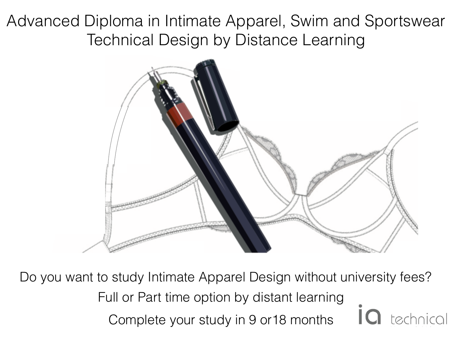Advanced Diploma in Intimate Apparel, Swim and Sportswear Technical Design by Distance Learning



Do you want to study Intimate Apparel Design without university fees? Full or Part time option by distant learning technical Complete your study in 9 or18 months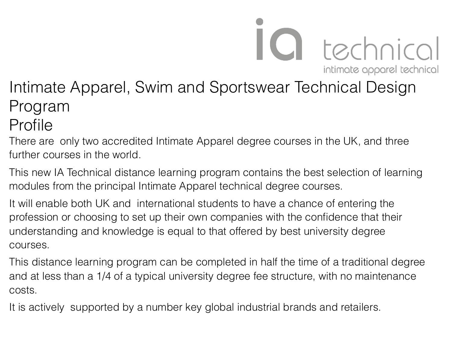intimate apparel technical Intimate Apparel, Swim and Sportswear Technical Design Program

IO technical

### Profile

There are only two accredited Intimate Apparel degree courses in the UK, and three further courses in the world.

This new IA Technical distance learning program contains the best selection of learning modules from the principal Intimate Apparel technical degree courses.

It will enable both UK and international students to have a chance of entering the profession or choosing to set up their own companies with the confidence that their understanding and knowledge is equal to that offered by best university degree courses.

This distance learning program can be completed in half the time of a traditional degree and at less than a 1/4 of a typical university degree fee structure, with no maintenance costs.

It is actively supported by a number key global industrial brands and retailers.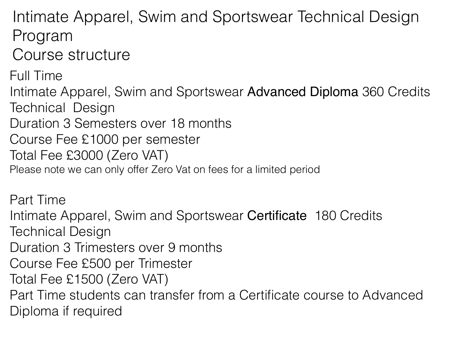Intimate Apparel, Swim and Sportswear Technical Design Program

Course structure

Full Time Intimate Apparel, Swim and Sportswear Advanced Diploma 360 Credits Technical Design Duration 3 Semesters over 18 months Course Fee £1000 per semester Total Fee £3000 (Zero VAT) Please note we can only offer Zero Vat on fees for a limited period

Part Time

Intimate Apparel, Swim and Sportswear Certificate 180 Credits Technical Design

Duration 3 Trimesters over 9 months

- Course Fee £500 per Trimester
- Total Fee £1500 (Zero VAT)

Part Time students can transfer from a Certificate course to Advanced Diploma if required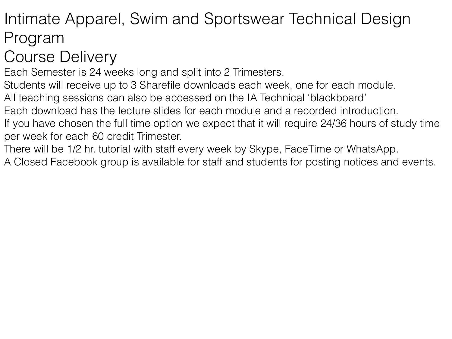## Intimate Apparel, Swim and Sportswear Technical Design Program

# Course Delivery

Each Semester is 24 weeks long and split into 2 Trimesters.

Students will receive up to 3 Sharefile downloads each week, one for each module.

All teaching sessions can also be accessed on the IA Technical 'blackboard'

Each download has the lecture slides for each module and a recorded introduction.

If you have chosen the full time option we expect that it will require 24/36 hours of study time per week for each 60 credit Trimester.

There will be 1/2 hr. tutorial with staff every week by Skype, FaceTime or WhatsApp.

A Closed Facebook group is available for staff and students for posting notices and events.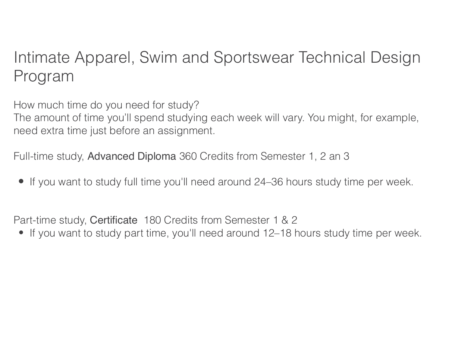## Intimate Apparel, Swim and Sportswear Technical Design Program

How much time do you need for study?

The amount of time you'll spend studying each week will vary. You might, for example, need extra time just before an assignment.

Full-time study, Advanced Diploma 360 Credits from Semester 1, 2 an 3

**•** If you want to study full time you'll need around 24–36 hours study time per week.

Part-time study, Certificate 180 Credits from Semester 1 & 2

• If you want to study part time, you'll need around 12–18 hours study time per week.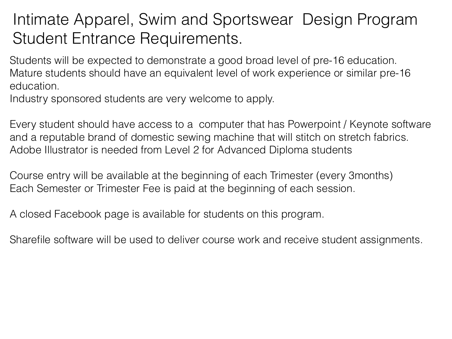## Intimate Apparel, Swim and Sportswear Design Program Student Entrance Requirements.

Students will be expected to demonstrate a good broad level of pre-16 education. Mature students should have an equivalent level of work experience or similar pre-16 education.

Industry sponsored students are very welcome to apply.

Every student should have access to a computer that has Powerpoint / Keynote software and a reputable brand of domestic sewing machine that will stitch on stretch fabrics. Adobe Illustrator is needed from Level 2 for Advanced Diploma students

Course entry will be available at the beginning of each Trimester (every 3months) Each Semester or Trimester Fee is paid at the beginning of each session.

A closed Facebook page is available for students on this program.

Sharefile software will be used to deliver course work and receive student assignments.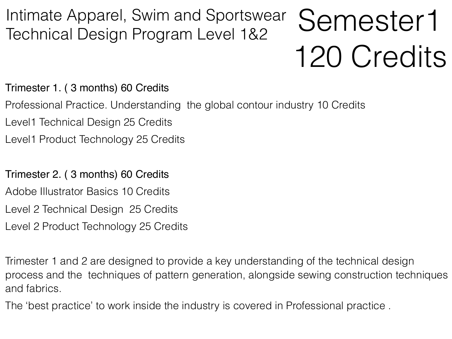#### Semester1 120 Credits Intimate Apparel, Swim and Sportswear Technical Design Program Level 1&2

Trimester 1. ( 3 months) 60 Credits

- Professional Practice. Understanding the global contour industry 10 Credits
- Level1 Technical Design 25 Credits
- Level1 Product Technology 25 Credits

#### Trimester 2. ( 3 months) 60 Credits

- Adobe Illustrator Basics 10 Credits
- Level 2 Technical Design 25 Credits
- Level 2 Product Technology 25 Credits

Trimester 1 and 2 are designed to provide a key understanding of the technical design process and the techniques of pattern generation, alongside sewing construction techniques and fabrics.

The 'best practice' to work inside the industry is covered in Professional practice .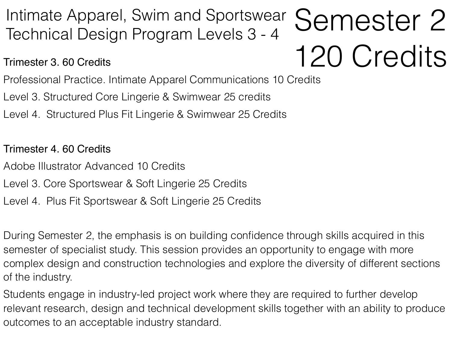## Intimate Apparel, Swim and Sportswear **Semester 2**<br>Technical Design Program Levels 3 - 4 120 Credits Technical Design Program Levels 3 - 4

Trimester 3. 60 Credits

Professional Practice. Intimate Apparel Communications 10 Credits

- Level 3. Structured Core Lingerie & Swimwear 25 credits
- Level 4. Structured Plus Fit Lingerie & Swimwear 25 Credits

Trimester 4. 60 Credits

- Adobe Illustrator Advanced 10 Credits
- Level 3. Core Sportswear & Soft Lingerie 25 Credits
- Level 4. Plus Fit Sportswear & Soft Lingerie 25 Credits

During Semester 2, the emphasis is on building confidence through skills acquired in this semester of specialist study. This session provides an opportunity to engage with more complex design and construction technologies and explore the diversity of different sections of the industry.

Students engage in industry-led project work where they are required to further develop relevant research, design and technical development skills together with an ability to produce outcomes to an acceptable industry standard.